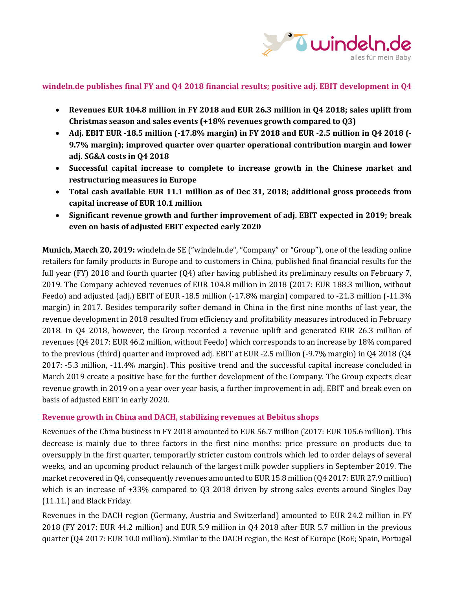

### **windeln.de publishes final FY and Q4 2018 financial results; positive adj. EBIT development in Q4**

- **Revenues EUR 104.8 million in FY 2018 and EUR 26.3 million in Q4 2018; sales uplift from Christmas season and sales events (+18% revenues growth compared to Q3)**
- **Adj. EBIT EUR -18.5 million (-17.8% margin) in FY 2018 and EUR -2.5 million in Q4 2018 (- 9.7% margin); improved quarter over quarter operational contribution margin and lower adj. SG&A costs in Q4 2018**
- **Successful capital increase to complete to increase growth in the Chinese market and restructuring measures in Europe**
- **Total cash available EUR 11.1 million as of Dec 31, 2018; additional gross proceeds from capital increase of EUR 10.1 million**
- **Significant revenue growth and further improvement of adj. EBIT expected in 2019; break even on basis of adjusted EBIT expected early 2020**

**Munich, March 20, 2019:** windeln.de SE ("windeln.de", "Company" or "Group"), one of the leading online retailers for family products in Europe and to customers in China, published final financial results for the full year (FY) 2018 and fourth quarter (Q4) after having published its preliminary results on February 7, 2019. The Company achieved revenues of EUR 104.8 million in 2018 (2017: EUR 188.3 million, without Feedo) and adjusted (adj.) EBIT of EUR -18.5 million (-17.8% margin) compared to -21.3 million (-11.3% margin) in 2017. Besides temporarily softer demand in China in the first nine months of last year, the revenue development in 2018 resulted from efficiency and profitability measures introduced in February 2018. In Q4 2018, however, the Group recorded a revenue uplift and generated EUR 26.3 million of revenues (Q4 2017: EUR 46.2 million, without Feedo) which corresponds to an increase by 18% compared to the previous (third) quarter and improved adj. EBIT at EUR -2.5 million (-9.7% margin) in Q4 2018 (Q4 2017: -5.3 million, -11.4% margin). This positive trend and the successful capital increase concluded in March 2019 create a positive base for the further development of the Company. The Group expects clear revenue growth in 2019 on a year over year basis, a further improvement in adj. EBIT and break even on basis of adjusted EBIT in early 2020.

#### **Revenue growth in China and DACH, stabilizing revenues at Bebitus shops**

Revenues of the China business in FY 2018 amounted to EUR 56.7 million (2017: EUR 105.6 million). This decrease is mainly due to three factors in the first nine months: price pressure on products due to oversupply in the first quarter, temporarily stricter custom controls which led to order delays of several weeks, and an upcoming product relaunch of the largest milk powder suppliers in September 2019. The market recovered in Q4, consequently revenues amounted to EUR 15.8 million (Q4 2017: EUR 27.9 million) which is an increase of +33% compared to Q3 2018 driven by strong sales events around Singles Day (11.11.) and Black Friday.

Revenues in the DACH region (Germany, Austria and Switzerland) amounted to EUR 24.2 million in FY 2018 (FY 2017: EUR 44.2 million) and EUR 5.9 million in Q4 2018 after EUR 5.7 million in the previous quarter (Q4 2017: EUR 10.0 million). Similar to the DACH region, the Rest of Europe (RoE; Spain, Portugal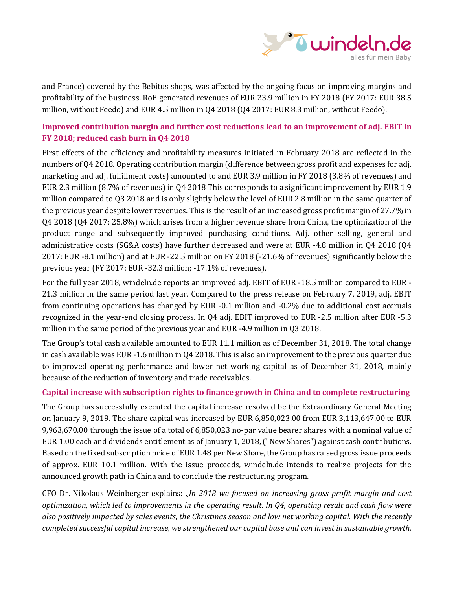

and France) covered by the Bebitus shops, was affected by the ongoing focus on improving margins and profitability of the business. RoE generated revenues of EUR 23.9 million in FY 2018 (FY 2017: EUR 38.5 million, without Feedo) and EUR 4.5 million in Q4 2018 (Q4 2017: EUR 8.3 million, without Feedo).

# **Improved contribution margin and further cost reductions lead to an improvement of adj. EBIT in FY 2018; reduced cash burn in Q4 2018**

First effects of the efficiency and profitability measures initiated in February 2018 are reflected in the numbers of Q4 2018. Operating contribution margin (difference between gross profit and expenses for adj. marketing and adj. fulfillment costs) amounted to and EUR 3.9 million in FY 2018 (3.8% of revenues) and EUR 2.3 million (8.7% of revenues) in Q4 2018 This corresponds to a significant improvement by EUR 1.9 million compared to Q3 2018 and is only slightly below the level of EUR 2.8 million in the same quarter of the previous year despite lower revenues. This is the result of an increased gross profit margin of 27.7% in Q4 2018 (Q4 2017: 25.8%) which arises from a higher revenue share from China, the optimization of the product range and subsequently improved purchasing conditions. Adj. other selling, general and administrative costs (SG&A costs) have further decreased and were at EUR -4.8 million in Q4 2018 (Q4 2017: EUR -8.1 million) and at EUR -22.5 million on FY 2018 (-21.6% of revenues) significantly below the previous year (FY 2017: EUR -32.3 million; -17.1% of revenues).

For the full year 2018, windeln.de reports an improved adj. EBIT of EUR -18.5 million compared to EUR - 21.3 million in the same period last year. Compared to the press release on February 7, 2019, adj. EBIT from continuing operations has changed by EUR -0.1 million and -0.2% due to additional cost accruals recognized in the year-end closing process. In Q4 adj. EBIT improved to EUR -2.5 million after EUR -5.3 million in the same period of the previous year and EUR -4.9 million in Q3 2018.

The Group's total cash available amounted to EUR 11.1 million as of December 31, 2018. The total change in cash available was EUR -1.6 million in Q4 2018. This is also an improvement to the previous quarter due to improved operating performance and lower net working capital as of December 31, 2018, mainly because of the reduction of inventory and trade receivables.

#### **Capital increase with subscription rights to finance growth in China and to complete restructuring**

The Group has successfully executed the capital increase resolved be the Extraordinary General Meeting on January 9, 2019. The share capital was increased by EUR 6,850,023.00 from EUR 3,113,647.00 to EUR 9,963,670.00 through the issue of a total of 6,850,023 no-par value bearer shares with a nominal value of EUR 1.00 each and dividends entitlement as of January 1, 2018, ("New Shares") against cash contributions. Based on the fixed subscription price of EUR 1.48 per New Share, the Group has raised gross issue proceeds of approx. EUR 10.1 million. With the issue proceeds, windeln.de intends to realize projects for the announced growth path in China and to conclude the restructuring program.

CFO Dr. Nikolaus Weinberger explains: *"In 2018 we focused on increasing gross profit margin and cost optimization, which led to improvements in the operating result. In Q4, operating result and cash flow were also positively impacted by sales events, the Christmas season and low net working capital. With the recently completed successful capital increase, we strengthened our capital base and can invest in sustainable growth.*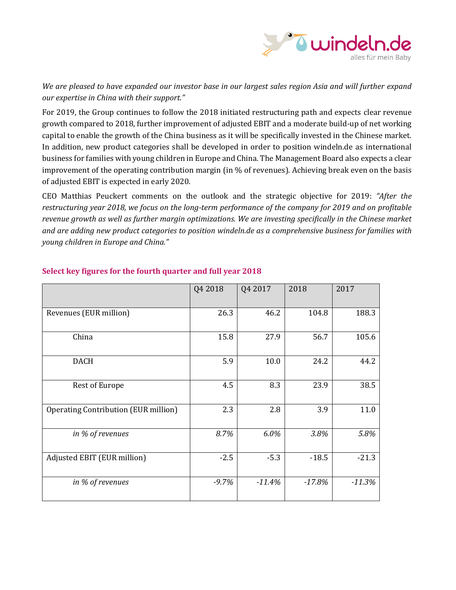

*We are pleased to have expanded our investor base in our largest sales region Asia and will further expand our expertise in China with their support."*

For 2019, the Group continues to follow the 2018 initiated restructuring path and expects clear revenue growth compared to 2018, further improvement of adjusted EBIT and a moderate build-up of net working capital to enable the growth of the China business as it will be specifically invested in the Chinese market. In addition, new product categories shall be developed in order to position windeln.de as international business for families with young children in Europe and China. The Management Board also expects a clear improvement of the operating contribution margin (in % of revenues). Achieving break even on the basis of adjusted EBIT is expected in early 2020.

CEO Matthias Peuckert comments on the outlook and the strategic objective for 2019: *"After the restructuring year 2018, we focus on the long-term performance of the company for 2019 and on profitable revenue growth as well as further margin optimizations. We are investing specifically in the Chinese market and are adding new product categories to position windeln.de as a comprehensive business for families with young children in Europe and China."*

|                                      | Q4 2018 | Q4 2017  | 2018     | 2017     |
|--------------------------------------|---------|----------|----------|----------|
| Revenues (EUR million)               | 26.3    | 46.2     | 104.8    | 188.3    |
| China                                | 15.8    | 27.9     | 56.7     | 105.6    |
| <b>DACH</b>                          | 5.9     | 10.0     | 24.2     | 44.2     |
| <b>Rest of Europe</b>                | 4.5     | 8.3      | 23.9     | 38.5     |
| Operating Contribution (EUR million) | 2.3     | 2.8      | 3.9      | 11.0     |
| in % of revenues                     | 8.7%    | 6.0%     | 3.8%     | 5.8%     |
| Adjusted EBIT (EUR million)          | $-2.5$  | $-5.3$   | $-18.5$  | $-21.3$  |
| in % of revenues                     | $-9.7%$ | $-11.4%$ | $-17.8%$ | $-11.3%$ |

## **Select key figures for the fourth quarter and full year 2018**